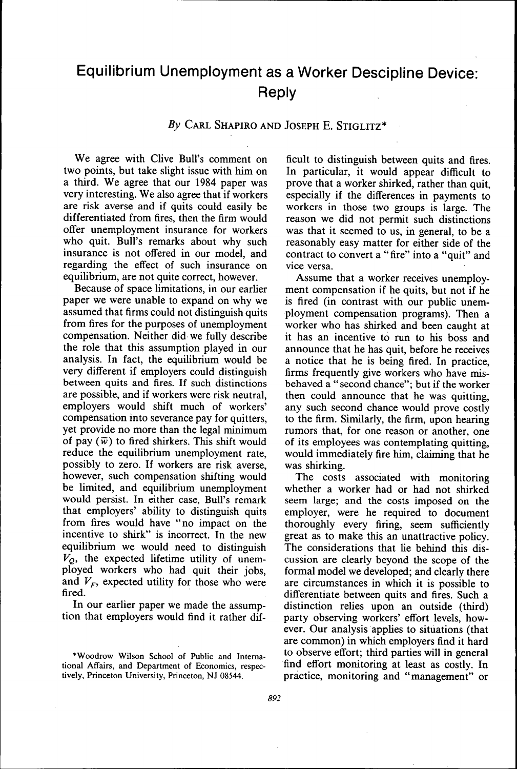## **Equilibrium Unemployment as a Worker Descipline Device: Reply**

## *By* CARL SHAPIRO AND JOSEPH E. STIGLITZ\*

We agree with Clive Bull's comment on two points, but take slight issue with him on a third. We agree that our 1984 paper was very interesting. We also agree that if workers are risk averse and if quits could easily be differentiated from fires, then the firm would offer unemployment insurance for workers who quit. Bull's remarks about why such insurance is not offered in our model, and regarding the effect of such insurance on equilibrium, are not quite correct, however.

Because of space limitations, in our earlier paper we were unable to expand on why we assumed that firms could not distinguish quits from fires for the purposes of unemployment compensation. Neither did we fully describe the role that this assumption played in our analysis. In fact, the equilibrium would be very different if employers could distinguish between quits and fires. If such distinctions are possible, and if workers were risk neutral, employers would shift much of workers' compensation into severance pay for quitters, yet provide no more than the legal minimum of pay  $(\overline{w})$  to fired shirkers. This shift would reduce the equilibrium unemployment rate, possibly to zero. If workers are risk averse, however, such compensation shifting would be limited, and equilibrium unemployment would persist. In either case. Bull's remark that employers' ability to distinguish quits from fires would have "no impact on the incentive to shirk" is incorrect. In the new equilibrium we would need to distinguish  $V_O$ , the expected lifetime utility of unemployed workers who had quit their jobs, and  $V_F$ , expected utility for those who were fired.

In our earlier paper we made the assumption that employers would find it rather difficult to distinguish between quits and fires. In particular, it would appear difficult to prove that a worker shirked, rather than quit, especially if the differences in payments to workers in those two groups is large. The reason we did not permit such distinctions was that it seemed to us, in general, to be a reasonably easy matter for either side of the contract to convert a "fire" into a "quit" and vice versa.

Assume that a worker receives unemployment compensation if he quits, but not if he is fired (in contrast with our public unemployment compensation programs). Then a worker who has shirked and been caught at it has an incentive to run to his boss and announce that he has quit, before he receives a notice that he is being fired. In practice, firms frequently give workers who have misbehaved a "second chance"; but if the worker then could announce that he was quitting, any such second chance would prove costly to the firm. Similarly, the firm, upon hearing rumors that, for one reason or another, one of its employees was contemplating quitting, would immediately fire him, claiming that he was shirking.

The costs associated with monitoring whether a worker had or had not shirked seem large; and the costs imposed on the employer, were he required to document thoroughly every firing, seem sufficiently great as to make this an unattractive policy. The considerations that lie behind this discussion are clearly beyond the scope of the formal model we developed; and clearly there are circumstances in which it is possible to differentiate between quits and fires. Such a distinction relies upon an outside (third) party observing workers' effort levels, however. Our analysis applies to situations (that are common) in which employers find it hard to observe effort; third parties will in general find effort monitoring at least as costly. In practice, monitoring and "management" or

<sup>\*</sup>Woodrow Wilson School of Public and International Affairs, and Department of Economics, respectively, Princeton University, Princeton, NJ 08544.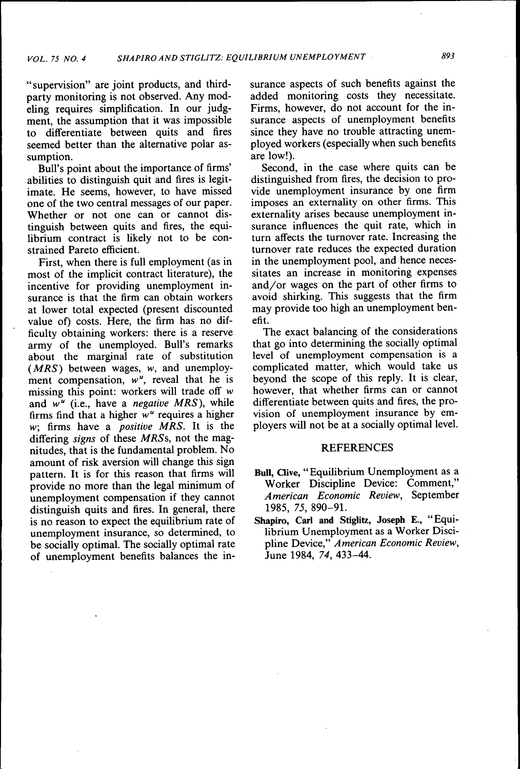"supervision" are joint products, and thirdparty monitoring is not observed. Any modeling requires simplification. In our judgment, the assumption that it was impossible to differentiate between quits and fires seemed better than the alternative polar assumption.

Bull's point about the importance of firms' abihties to distinguish quit and fires is legitimate. He seems, however, to have missed one of the two central messages of our paper. Whether or not one can or cannot distinguish between quits and fires, the equilibrium contract is likely not to be constrained Pareto efficient.

First, when there is full employment (as in most of the implicit contract literature), the incentive for providing unemployment insurance is that the firm can obtain workers at lower total expected (present discounted value of) costs. Here, the firm has no difficulty obtaining workers: there is a reserve army of the unemployed. Bull's remarks about the marginal rate of substitution *(MRS)* between wages, *w,* and unemployment compensation, *w",* reveal that he is missing this point: workers will trade off *w* and *w"* (i.e., have a *negative MRS),* while firms find that a higher *w"* requires a higher *w;* firms have a *positive MRS.* It is the differing *signs* of these *MRSs,* not the magnitudes, that is the fundamental problem. No amount of risk aversion will change this sign pattern. It is for this reason that firms will provide no more than the legal minimum of unemployment compensation if they cannot distinguish quits and fires. In general, there is no reason to expect the equilibrium rate of unemployment insurance, so determined, to be socially optimal. The socially optimal rate of unemployment benefits balances the insurance aspects of such benefits against the added monitoring costs they necessitate. Firms, however, do not account for the insurance aspects of unemployment benefits since they have no trouble attracting unemployed workers (especially when such benefits are low!).

Second, in the case where quits can be distinguished from fires, the decision to provide unemployment insurance by one firm imposes an externality on other firms. This externality arises because unemployment insurance influences the quit rate, which in turn affects the turnover rate. Increasing the turnover rate reduces the expected duration in the unemployment pool, and hence necessitates an increase in monitoring expenses and/or wages on the part of other firms to avoid shirking. This suggests that the firm may provide too high an unemployment benefit.

The exact balancing of the considerations that go into determining the socially optimal level of unemployment compensation is a complicated matter, which would take us beyond the scope of this reply. It is clear, however, that whether firms can or cannot differentiate between quits and fires, the provision of unemployment insurance by employers will not be at a socially optimal level.

## **REFERENCES**

- **Bull,** Qive, "Equilibrium Unemployment as a Worker Discipline Device: Comment," *American Economic Review,* September 1985, *75,* 890-91.
- Shapiro, Carl and Stiglitz, Joseph E., "Equilibrium Unemployment as a Worker Discipline Device," *American Economic Review,* June 1984, *74,* 433-44.